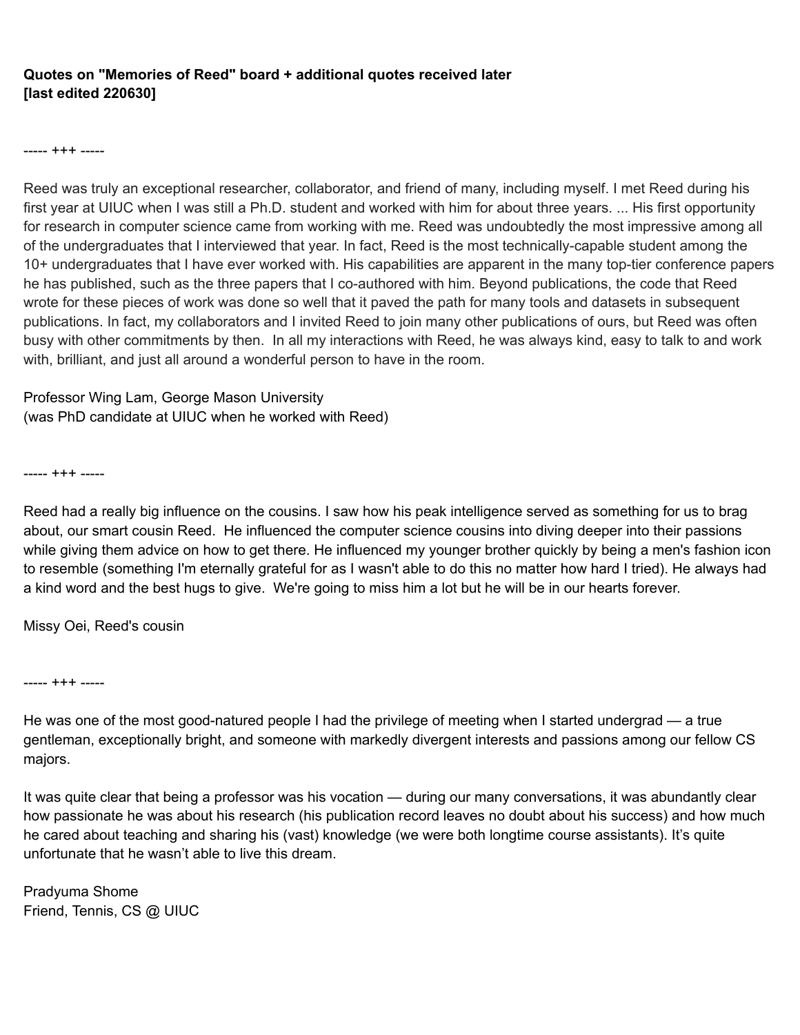## **Quotes on "Memories of Reed" board + additional quotes received later [last edited 220630]**

----- +++ -----

Reed was truly an exceptional researcher, collaborator, and friend of many, including myself. I met Reed during his first year at UIUC when I was still a Ph.D. student and worked with him for about three years. ... His first opportunity for research in computer science came from working with me. Reed was undoubtedly the most impressive among all of the undergraduates that I interviewed that year. In fact, Reed is the most technically-capable student among the 10+ undergraduates that I have ever worked with. His capabilities are apparent in the many top-tier conference papers he has published, such as the three papers that I co-authored with him. Beyond publications, the code that Reed wrote for these pieces of work was done so well that it paved the path for many tools and datasets in subsequent publications. In fact, my collaborators and I invited Reed to join many other publications of ours, but Reed was often busy with other commitments by then. In all my interactions with Reed, he was always kind, easy to talk to and work with, brilliant, and just all around a wonderful person to have in the room.

Professor Wing Lam, George Mason University (was PhD candidate at UIUC when he worked with Reed)

----- +++ -----

Reed had a really big influence on the cousins. I saw how his peak intelligence served as something for us to brag about, our smart cousin Reed. He influenced the computer science cousins into diving deeper into their passions while giving them advice on how to get there. He influenced my younger brother quickly by being a men's fashion icon to resemble (something I'm eternally grateful for as I wasn't able to do this no matter how hard I tried). He always had a kind word and the best hugs to give. We're going to miss him a lot but he will be in our hearts forever.

Missy Oei, Reed's cousin

----- +++ -----

He was one of the most good-natured people I had the privilege of meeting when I started undergrad — a true gentleman, exceptionally bright, and someone with markedly divergent interests and passions among our fellow CS majors.

It was quite clear that being a professor was his vocation — during our many conversations, it was abundantly clear how passionate he was about his research (his publication record leaves no doubt about his success) and how much he cared about teaching and sharing his (vast) knowledge (we were both longtime course assistants). It's quite unfortunate that he wasn't able to live this dream.

Pradyuma Shome Friend, Tennis, CS @ UIUC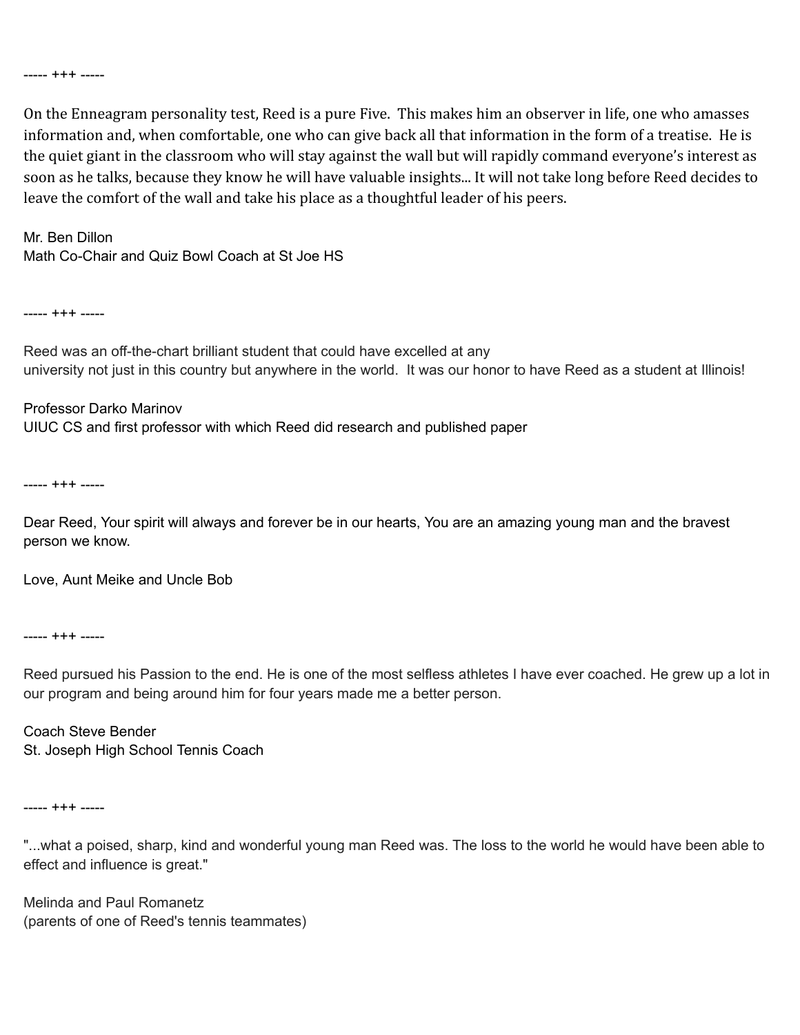----- +++ -----

On the Enneagram personality test, Reed is a pure Five. This makes him an observer in life, one who amasses information and, when comfortable, one who can give back all that information in the form of a treatise. He is the quiet giant in the classroom who will stay against the wall but will rapidly command everyone's interest as soon as he talks, because they know he will have valuable insights... It will not take long before Reed decides to leave the comfort of the wall and take his place as a thoughtful leader of his peers.

Mr. Ben Dillon Math Co-Chair and Quiz Bowl Coach at St Joe HS

----- +++ -----

Reed was an off-the-chart brilliant student that could have excelled at any university not just in this country but anywhere in the world. It was our honor to have Reed as a student at Illinois!

# Professor Darko Marinov UIUC CS and first professor with which Reed did research and published paper

----- +++ -----

Dear Reed, Your spirit will always and forever be in our hearts, You are an amazing young man and the bravest person we know.

Love, Aunt Meike and Uncle Bob

----- +++ -----

Reed pursued his Passion to the end. He is one of the most selfless athletes I have ever coached. He grew up a lot in our program and being around him for four years made me a better person.

Coach Steve Bender St. Joseph High School Tennis Coach

----- +++ -----

"...what a poised, sharp, kind and wonderful young man Reed was. The loss to the world he would have been able to effect and influence is great."

Melinda and Paul Romanetz (parents of one of Reed's tennis teammates)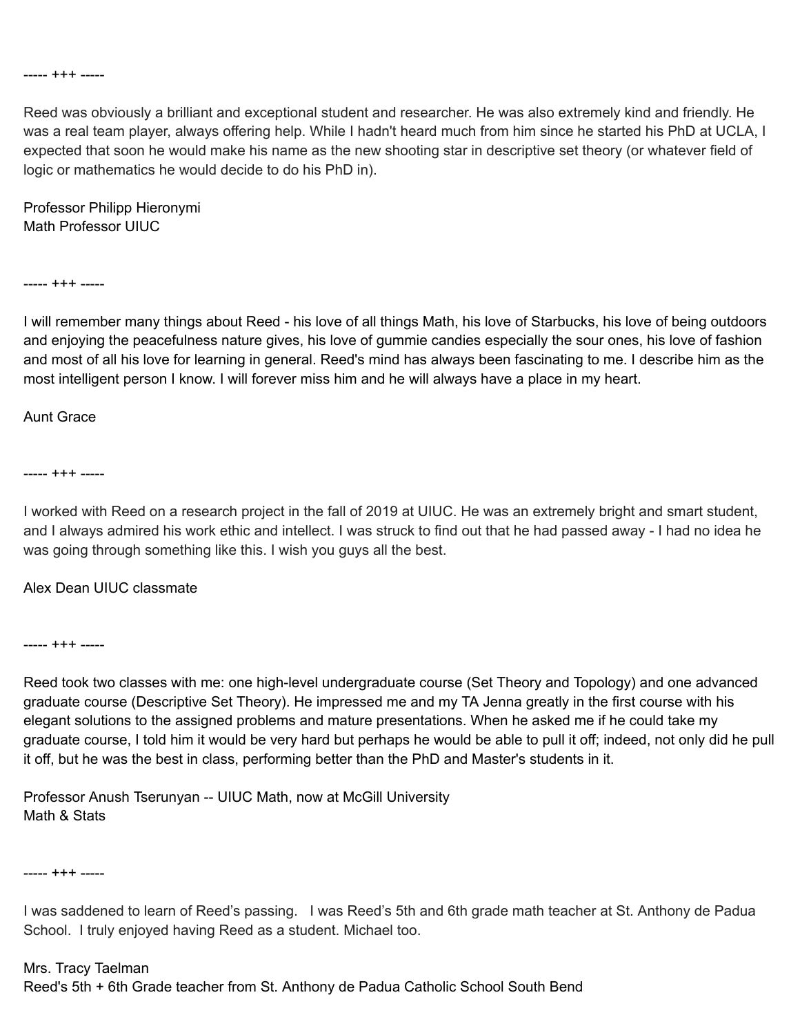#### ----- +++ -----

Reed was obviously a brilliant and exceptional student and researcher. He was also extremely kind and friendly. He was a real team player, always offering help. While I hadn't heard much from him since he started his PhD at UCLA, I expected that soon he would make his name as the new shooting star in descriptive set theory (or whatever field of logic or mathematics he would decide to do his PhD in).

Professor Philipp Hieronymi Math Professor UIUC

----- +++ -----

I will remember many things about Reed - his love of all things Math, his love of Starbucks, his love of being outdoors and enjoying the peacefulness nature gives, his love of gummie candies especially the sour ones, his love of fashion and most of all his love for learning in general. Reed's mind has always been fascinating to me. I describe him as the most intelligent person I know. I will forever miss him and he will always have a place in my heart.

#### Aunt Grace

----- +++ -----

I worked with Reed on a research project in the fall of 2019 at UIUC. He was an extremely bright and smart student, and I always admired his work ethic and intellect. I was struck to find out that he had passed away - I had no idea he was going through something like this. I wish you guys all the best.

### Alex Dean UIUC classmate

----- +++ -----

Reed took two classes with me: one high-level undergraduate course (Set Theory and Topology) and one advanced graduate course (Descriptive Set Theory). He impressed me and my TA Jenna greatly in the first course with his elegant solutions to the assigned problems and mature presentations. When he asked me if he could take my graduate course, I told him it would be very hard but perhaps he would be able to pull it off; indeed, not only did he pull it off, but he was the best in class, performing better than the PhD and Master's students in it.

Professor Anush Tserunyan -- UIUC Math, now at McGill University Math & Stats

----- +++ -----

I was saddened to learn of Reed's passing. I was Reed's 5th and 6th grade math teacher at St. Anthony de Padua School. I truly enjoyed having Reed as a student. Michael too.

### Mrs. Tracy Taelman Reed's 5th + 6th Grade teacher from St. Anthony de Padua Catholic School South Bend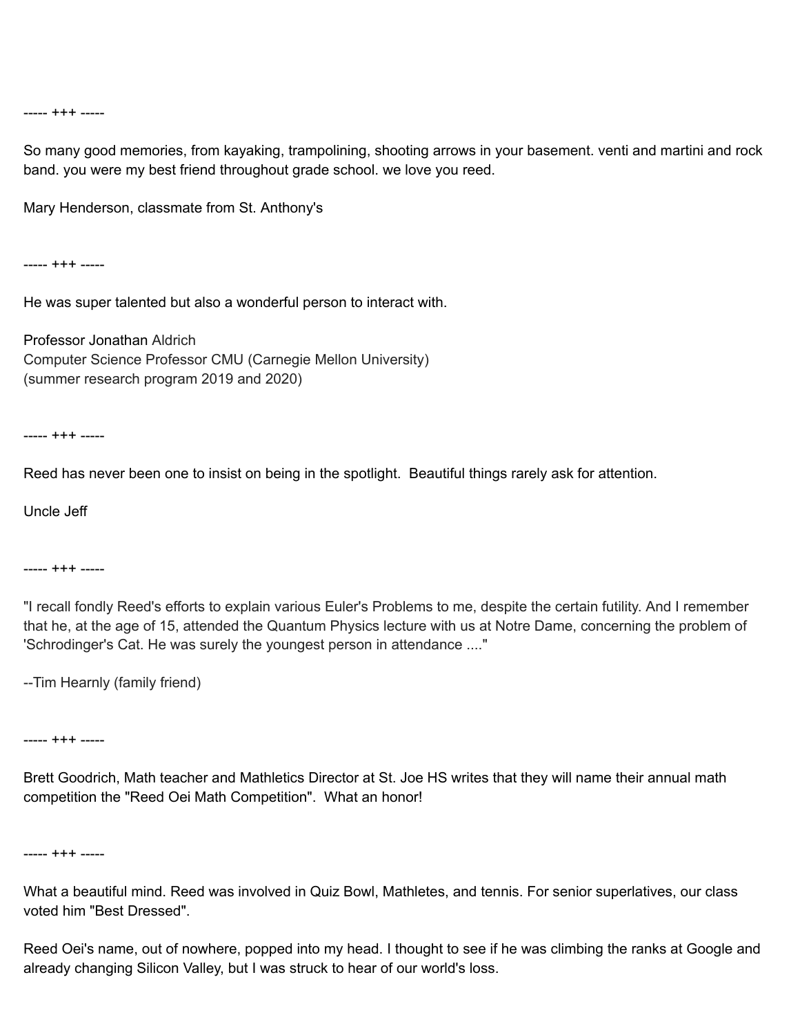----- +++ -----

So many good memories, from kayaking, trampolining, shooting arrows in your basement. venti and martini and rock band. you were my best friend throughout grade school. we love you reed.

Mary Henderson, classmate from St. Anthony's

----- +++ -----

He was super talented but also a wonderful person to interact with.

Professor Jonathan Aldrich Computer Science Professor CMU (Carnegie Mellon University) (summer research program 2019 and 2020)

----- +++ -----

Reed has never been one to insist on being in the spotlight. Beautiful things rarely ask for attention.

Uncle Jeff

----- +++ -----

"I recall fondly Reed's efforts to explain various Euler's Problems to me, despite the certain futility. And I remember that he, at the age of 15, attended the Quantum Physics lecture with us at Notre Dame, concerning the problem of 'Schrodinger's Cat. He was surely the youngest person in attendance ...."

--Tim Hearnly (family friend)

----- +++ -----

Brett Goodrich, Math teacher and Mathletics Director at St. Joe HS writes that they will name their annual math competition the "Reed Oei Math Competition". What an honor!

----- +++ -----

What a beautiful mind. Reed was involved in Quiz Bowl, Mathletes, and tennis. For senior superlatives, our class voted him "Best Dressed".

Reed Oei's name, out of nowhere, popped into my head. I thought to see if he was climbing the ranks at Google and already changing Silicon Valley, but I was struck to hear of our world's loss.